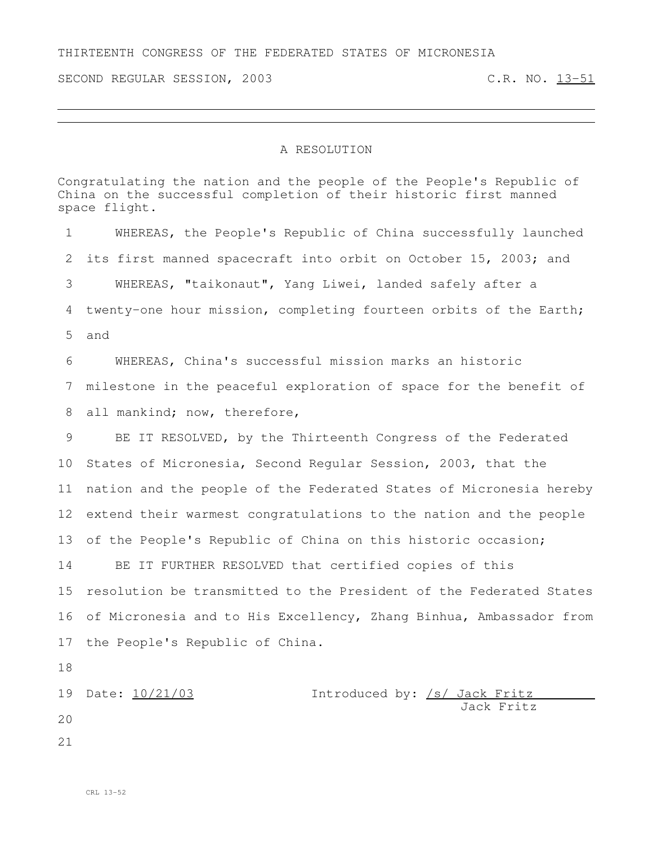## THIRTEENTH CONGRESS OF THE FEDERATED STATES OF MICRONESIA

SECOND REGULAR SESSION, 2003 C.R. NO. 13-51

## A RESOLUTION

Congratulating the nation and the people of the People's Republic of China on the successful completion of their historic first manned space flight. WHEREAS, the People's Republic of China successfully launched its first manned spacecraft into orbit on October 15, 2003; and WHEREAS, "taikonaut", Yang Liwei, landed safely after a twenty-one hour mission, completing fourteen orbits of the Earth; and WHEREAS, China's successful mission marks an historic milestone in the peaceful exploration of space for the benefit of 8 all mankind; now, therefore, BE IT RESOLVED, by the Thirteenth Congress of the Federated States of Micronesia, Second Regular Session, 2003, that the nation and the people of the Federated States of Micronesia hereby extend their warmest congratulations to the nation and the people of the People's Republic of China on this historic occasion; BE IT FURTHER RESOLVED that certified copies of this resolution be transmitted to the President of the Federated States of Micronesia and to His Excellency, Zhang Binhua, Ambassador from the People's Republic of China. Date: 10/21/03 Introduced by: /s/ Jack Fritz Jack Fritz

- 
-